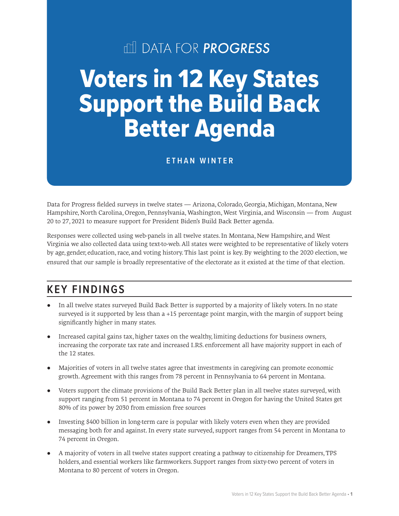# **III DATA FOR PROGRESS**

# Voters in 12 Key States Support the Build Back Better Agenda

#### **ETHAN WINTER**

Data for Progress fielded surveys in twelve states — Arizona, Colorado, Georgia, Michigan, Montana, New Hampshire, North Carolina, Oregon, Pennsylvania, Washington, West Virginia, and Wisconsin — from August 20 to 27, 2021 to measure support for President Biden's Build Back Better agenda.

Responses were collected using web-panels in all twelve states. In Montana, New Hampshire, and West Virginia we also collected data using text-to-web. All states were weighted to be representative of likely voters by age, gender, education, race, and voting history. This last point is key. By weighting to the 2020 election, we ensured that our sample is broadly representative of the electorate as it existed at the time of that election.

## **KEY FINDINGS**

- In all twelve states surveyed Build Back Better is supported by a majority of likely voters. In no state surveyed is it supported by less than a +15 percentage point margin, with the margin of support being significantly higher in many states.
- Increased capital gains tax, higher taxes on the wealthy, limiting deductions for business owners, increasing the corporate tax rate and increased I.RS. enforcement all have majority support in each of the 12 states.
- Majorities of voters in all twelve states agree that investments in caregiving can promote economic growth. Agreement with this ranges from 78 percent in Pennsylvania to 64 percent in Montana.
- Voters support the climate provisions of the Build Back Better plan in all twelve states surveyed, with support ranging from 51 percent in Montana to 74 percent in Oregon for having the United States get 80% of its power by 2030 from emission free sources
- Investing \$400 billion in long-term care is popular with likely voters even when they are provided messaging both for and against. In every state surveyed, support ranges from 54 percent in Montana to 74 percent in Oregon.
- A majority of voters in all twelve states support creating a pathway to citizenship for Dreamers, TPS holders, and essential workers like farmworkers. Support ranges from sixty-two percent of voters in Montana to 80 percent of voters in Oregon.